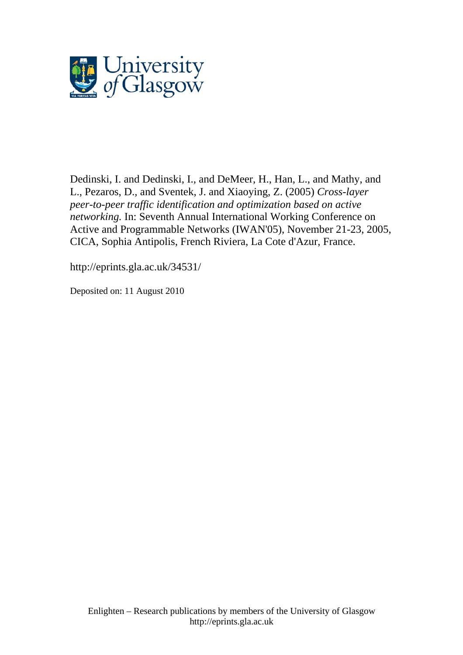

Dedinski, I. and Dedinski, I., and DeMeer, H., Han, L., and Mathy, and L., [Pezaros, D.](http://eprints.gla.ac.uk/view/author/5079.html), and Sventek, J. and Xiaoying, Z. (2005) *Cross-layer peer-to-peer traffic identification and optimization based on active networking.* In: Seventh Annual International Working Conference on Active and Programmable Networks (IWAN'05), November 21-23, 2005, CICA, Sophia Antipolis, French Riviera, La Cote d'Azur, France.

http://eprints.gla.ac.uk/34531/

Deposited on: 11 August 2010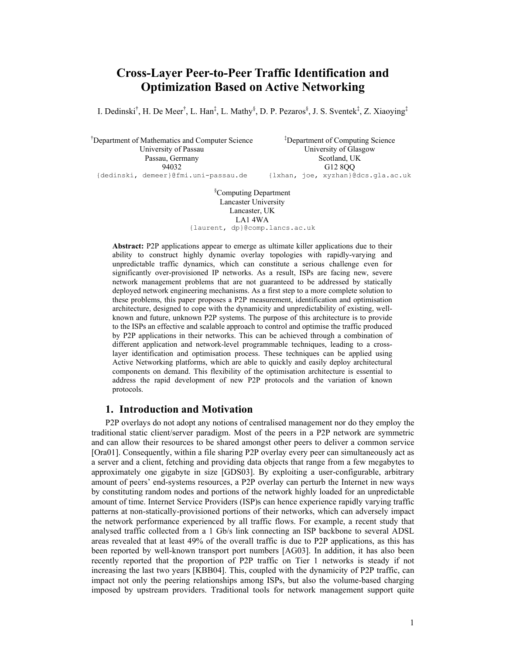# **Cross-Layer Peer-to-Peer Traffic Identification and Optimization Based on Active Networking**

I. Dedinski<sup>†</sup>, H. De Meer<sup>†</sup>, L. Han<sup>‡</sup>, L. Mathy<sup>§</sup>, D. P. Pezaros<sup>§</sup>, J. S. Sventek<sup>‡</sup>, Z. Xiaoying<sup>‡</sup>

† Department of Mathematics and Computer Science University of Passau Passau, Germany 94032 {dedinski, demeer}@fmi.uni-passau.de

‡ Department of Computing Science University of Glasgow Scotland, UK G12 8QQ {lxhan, joe, xyzhan}@dcs.gla.ac.uk

§ Computing Department Lancaster University Lancaster, UK LA1 4WA {laurent, dp}@comp.lancs.ac.uk

**Abstract:** P2P applications appear to emerge as ultimate killer applications due to their ability to construct highly dynamic overlay topologies with rapidly-varying and unpredictable traffic dynamics, which can constitute a serious challenge even for significantly over-provisioned IP networks. As a result, ISPs are facing new, severe network management problems that are not guaranteed to be addressed by statically deployed network engineering mechanisms. As a first step to a more complete solution to these problems, this paper proposes a P2P measurement, identification and optimisation architecture, designed to cope with the dynamicity and unpredictability of existing, wellknown and future, unknown P2P systems. The purpose of this architecture is to provide to the ISPs an effective and scalable approach to control and optimise the traffic produced by P2P applications in their networks. This can be achieved through a combination of different application and network-level programmable techniques, leading to a crosslayer identification and optimisation process. These techniques can be applied using Active Networking platforms, which are able to quickly and easily deploy architectural components on demand. This flexibility of the optimisation architecture is essential to address the rapid development of new P2P protocols and the variation of known protocols.

## **1. Introduction and Motivation**

P2P overlays do not adopt any notions of centralised management nor do they employ the traditional static client/server paradigm. Most of the peers in a P2P network are symmetric and can allow their resources to be shared amongst other peers to deliver a common service [Ora01]. Consequently, within a file sharing P2P overlay every peer can simultaneously act as a server and a client, fetching and providing data objects that range from a few megabytes to approximately one gigabyte in size [GDS03]. By exploiting a user-configurable, arbitrary amount of peers' end-systems resources, a P2P overlay can perturb the Internet in new ways by constituting random nodes and portions of the network highly loaded for an unpredictable amount of time. Internet Service Providers (ISP)s can hence experience rapidly varying traffic patterns at non-statically-provisioned portions of their networks, which can adversely impact the network performance experienced by all traffic flows. For example, a recent study that analysed traffic collected from a 1 Gb/s link connecting an ISP backbone to several ADSL areas revealed that at least 49% of the overall traffic is due to P2P applications, as this has been reported by well-known transport port numbers [AG03]. In addition, it has also been recently reported that the proportion of P2P traffic on Tier 1 networks is steady if not increasing the last two years [KBB04]. This, coupled with the dynamicity of P2P traffic, can impact not only the peering relationships among ISPs, but also the volume-based charging imposed by upstream providers. Traditional tools for network management support quite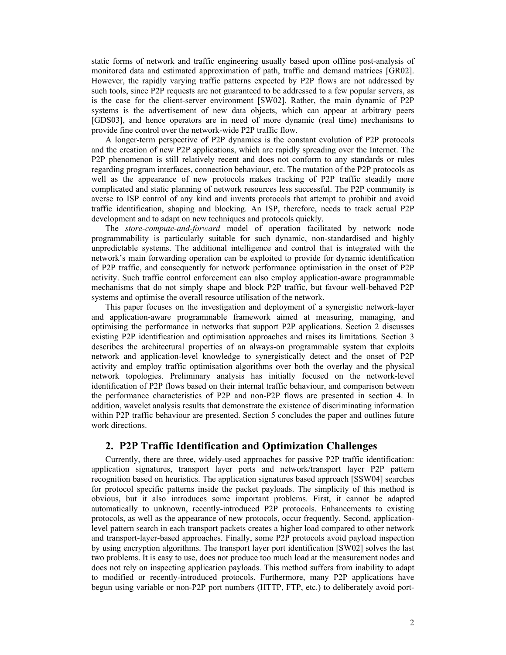static forms of network and traffic engineering usually based upon offline post-analysis of monitored data and estimated approximation of path, traffic and demand matrices [GR02]. However, the rapidly varying traffic patterns expected by P2P flows are not addressed by such tools, since P2P requests are not guaranteed to be addressed to a few popular servers, as is the case for the client-server environment [SW02]. Rather, the main dynamic of P2P systems is the advertisement of new data objects, which can appear at arbitrary peers [GDS03], and hence operators are in need of more dynamic (real time) mechanisms to provide fine control over the network-wide P2P traffic flow.

A longer-term perspective of P2P dynamics is the constant evolution of P2P protocols and the creation of new P2P applications, which are rapidly spreading over the Internet. The P2P phenomenon is still relatively recent and does not conform to any standards or rules regarding program interfaces, connection behaviour, etc. The mutation of the P2P protocols as well as the appearance of new protocols makes tracking of P2P traffic steadily more complicated and static planning of network resources less successful. The P2P community is averse to ISP control of any kind and invents protocols that attempt to prohibit and avoid traffic identification, shaping and blocking. An ISP, therefore, needs to track actual P2P development and to adapt on new techniques and protocols quickly.

The *store-compute-and-forward* model of operation facilitated by network node programmability is particularly suitable for such dynamic, non-standardised and highly unpredictable systems. The additional intelligence and control that is integrated with the network's main forwarding operation can be exploited to provide for dynamic identification of P2P traffic, and consequently for network performance optimisation in the onset of P2P activity. Such traffic control enforcement can also employ application-aware programmable mechanisms that do not simply shape and block P2P traffic, but favour well-behaved P2P systems and optimise the overall resource utilisation of the network.

This paper focuses on the investigation and deployment of a synergistic network-layer and application-aware programmable framework aimed at measuring, managing, and optimising the performance in networks that support P2P applications. Section 2 discusses existing P2P identification and optimisation approaches and raises its limitations. Section 3 describes the architectural properties of an always-on programmable system that exploits network and application-level knowledge to synergistically detect and the onset of P2P activity and employ traffic optimisation algorithms over both the overlay and the physical network topologies. Preliminary analysis has initially focused on the network-level identification of P2P flows based on their internal traffic behaviour, and comparison between the performance characteristics of P2P and non-P2P flows are presented in section 4. In addition, wavelet analysis results that demonstrate the existence of discriminating information within P2P traffic behaviour are presented. Section 5 concludes the paper and outlines future work directions.

# **2. P2P Traffic Identification and Optimization Challenges**

Currently, there are three, widely-used approaches for passive P2P traffic identification: application signatures, transport layer ports and network/transport layer P2P pattern recognition based on heuristics. The application signatures based approach [SSW04] searches for protocol specific patterns inside the packet payloads. The simplicity of this method is obvious, but it also introduces some important problems. First, it cannot be adapted automatically to unknown, recently-introduced P2P protocols. Enhancements to existing protocols, as well as the appearance of new protocols, occur frequently. Second, applicationlevel pattern search in each transport packets creates a higher load compared to other network and transport-layer-based approaches. Finally, some P2P protocols avoid payload inspection by using encryption algorithms. The transport layer port identification [SW02] solves the last two problems. It is easy to use, does not produce too much load at the measurement nodes and does not rely on inspecting application payloads. This method suffers from inability to adapt to modified or recently-introduced protocols. Furthermore, many P2P applications have begun using variable or non-P2P port numbers (HTTP, FTP, etc.) to deliberately avoid port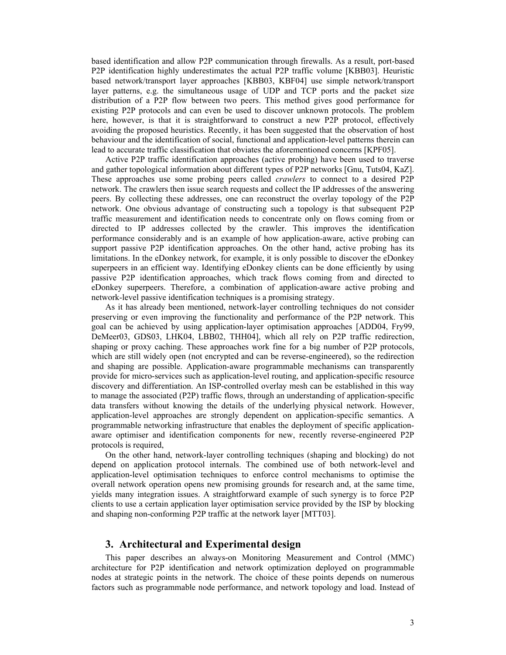based identification and allow P2P communication through firewalls. As a result, port-based P2P identification highly underestimates the actual P2P traffic volume [KBB03]. Heuristic based network/transport layer approaches [KBB03, KBF04] use simple network/transport layer patterns, e.g. the simultaneous usage of UDP and TCP ports and the packet size distribution of a P2P flow between two peers. This method gives good performance for existing P2P protocols and can even be used to discover unknown protocols. The problem here, however, is that it is straightforward to construct a new P2P protocol, effectively avoiding the proposed heuristics. Recently, it has been suggested that the observation of host behaviour and the identification of social, functional and application-level patterns therein can lead to accurate traffic classification that obviates the aforementioned concerns [KPF05].

Active P2P traffic identification approaches (active probing) have been used to traverse and gather topological information about different types of P2P networks [Gnu, Tuts04, KaZ]. These approaches use some probing peers called *crawlers* to connect to a desired P2P network. The crawlers then issue search requests and collect the IP addresses of the answering peers. By collecting these addresses, one can reconstruct the overlay topology of the P2P network. One obvious advantage of constructing such a topology is that subsequent P2P traffic measurement and identification needs to concentrate only on flows coming from or directed to IP addresses collected by the crawler. This improves the identification performance considerably and is an example of how application-aware, active probing can support passive P2P identification approaches. On the other hand, active probing has its limitations. In the eDonkey network, for example, it is only possible to discover the eDonkey superpeers in an efficient way. Identifying eDonkey clients can be done efficiently by using passive P2P identification approaches, which track flows coming from and directed to eDonkey superpeers. Therefore, a combination of application-aware active probing and network-level passive identification techniques is a promising strategy.

As it has already been mentioned, network-layer controlling techniques do not consider preserving or even improving the functionality and performance of the P2P network. This goal can be achieved by using application-layer optimisation approaches [ADD04, Fry99, DeMeer03, GDS03, LHK04, LBB02, THH04], which all rely on P2P traffic redirection, shaping or proxy caching. These approaches work fine for a big number of P2P protocols, which are still widely open (not encrypted and can be reverse-engineered), so the redirection and shaping are possible. Application-aware programmable mechanisms can transparently provide for micro-services such as application-level routing, and application-specific resource discovery and differentiation. An ISP-controlled overlay mesh can be established in this way to manage the associated (P2P) traffic flows, through an understanding of application-specific data transfers without knowing the details of the underlying physical network. However, application-level approaches are strongly dependent on application-specific semantics. A programmable networking infrastructure that enables the deployment of specific applicationaware optimiser and identification components for new, recently reverse-engineered P2P protocols is required,

On the other hand, network-layer controlling techniques (shaping and blocking) do not depend on application protocol internals. The combined use of both network-level and application-level optimisation techniques to enforce control mechanisms to optimise the overall network operation opens new promising grounds for research and, at the same time, yields many integration issues. A straightforward example of such synergy is to force P2P clients to use a certain application layer optimisation service provided by the ISP by blocking and shaping non-conforming P2P traffic at the network layer [MTT03].

#### **3. Architectural and Experimental design**

This paper describes an always-on Monitoring Measurement and Control (MMC) architecture for P2P identification and network optimization deployed on programmable nodes at strategic points in the network. The choice of these points depends on numerous factors such as programmable node performance, and network topology and load. Instead of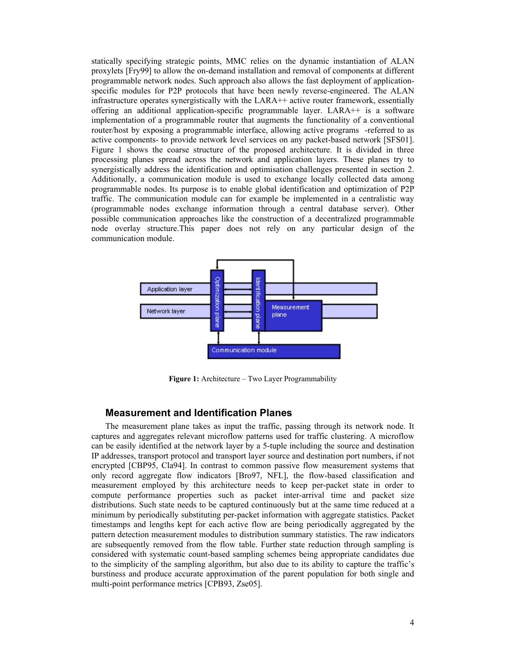statically specifying strategic points, MMC relies on the dynamic instantiation of ALAN proxylets [Fry99] to allow the on-demand installation and removal of components at different programmable network nodes. Such approach also allows the fast deployment of applicationspecific modules for P2P protocols that have been newly reverse-engineered. The ALAN infrastructure operates synergistically with the LARA++ active router framework, essentially offering an additional application-specific programmable layer. LARA++ is a software implementation of a programmable router that augments the functionality of a conventional router/host by exposing a programmable interface, allowing active programs -referred to as active components- to provide network level services on any packet-based network [SFS01]. Figure 1 shows the coarse structure of the proposed architecture. It is divided in three processing planes spread across the network and application layers. These planes try to synergistically address the identification and optimisation challenges presented in section 2. Additionally, a communication module is used to exchange locally collected data among programmable nodes. Its purpose is to enable global identification and optimization of P2P traffic. The communication module can for example be implemented in a centralistic way (programmable nodes exchange information through a central database server). Other possible communication approaches like the construction of a decentralized programmable node overlay structure.This paper does not rely on any particular design of the communication module.



**Figure 1:** Architecture – Two Layer Programmability

#### **Measurement and Identification Planes**

The measurement plane takes as input the traffic, passing through its network node. It captures and aggregates relevant microflow patterns used for traffic clustering. A microflow can be easily identified at the network layer by a 5-tuple including the source and destination IP addresses, transport protocol and transport layer source and destination port numbers, if not encrypted [CBP95, Cla94]. In contrast to common passive flow measurement systems that only record aggregate flow indicators [Bro97, NFL], the flow-based classification and measurement employed by this architecture needs to keep per-packet state in order to compute performance properties such as packet inter-arrival time and packet size distributions. Such state needs to be captured continuously but at the same time reduced at a minimum by periodically substituting per-packet information with aggregate statistics. Packet timestamps and lengths kept for each active flow are being periodically aggregated by the pattern detection measurement modules to distribution summary statistics. The raw indicators are subsequently removed from the flow table. Further state reduction through sampling is considered with systematic count-based sampling schemes being appropriate candidates due to the simplicity of the sampling algorithm, but also due to its ability to capture the traffic's burstiness and produce accurate approximation of the parent population for both single and multi-point performance metrics [CPB93, Zse05].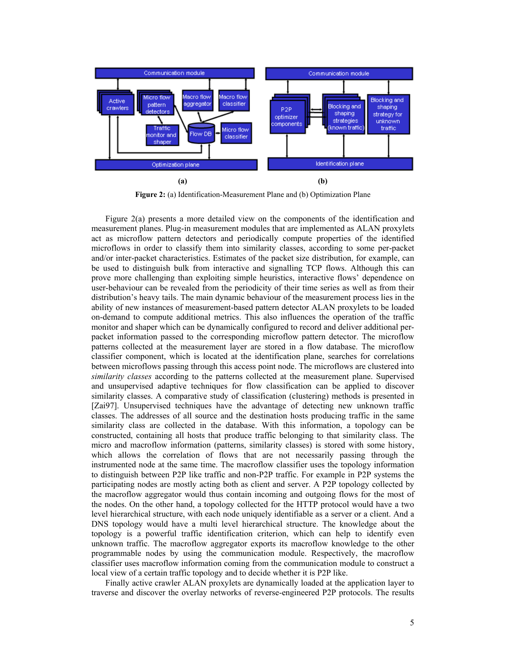

**Figure 2:** (a) Identification-Measurement Plane and (b) Optimization Plane

Figure 2(a) presents a more detailed view on the components of the identification and measurement planes. Plug-in measurement modules that are implemented as ALAN proxylets act as microflow pattern detectors and periodically compute properties of the identified microflows in order to classify them into similarity classes, according to some per-packet and/or inter-packet characteristics. Estimates of the packet size distribution, for example, can be used to distinguish bulk from interactive and signalling TCP flows. Although this can prove more challenging than exploiting simple heuristics, interactive flows' dependence on user-behaviour can be revealed from the periodicity of their time series as well as from their distribution's heavy tails. The main dynamic behaviour of the measurement process lies in the ability of new instances of measurement-based pattern detector ALAN proxylets to be loaded on-demand to compute additional metrics. This also influences the operation of the traffic monitor and shaper which can be dynamically configured to record and deliver additional perpacket information passed to the corresponding microflow pattern detector. The microflow patterns collected at the measurement layer are stored in a flow database. The microflow classifier component, which is located at the identification plane, searches for correlations between microflows passing through this access point node. The microflows are clustered into *similarity classes* according to the patterns collected at the measurement plane. Supervised and unsupervised adaptive techniques for flow classification can be applied to discover similarity classes. A comparative study of classification (clustering) methods is presented in [Zai97]. Unsupervised techniques have the advantage of detecting new unknown traffic classes. The addresses of all source and the destination hosts producing traffic in the same similarity class are collected in the database. With this information, a topology can be constructed, containing all hosts that produce traffic belonging to that similarity class. The micro and macroflow information (patterns, similarity classes) is stored with some history, which allows the correlation of flows that are not necessarily passing through the instrumented node at the same time. The macroflow classifier uses the topology information to distinguish between P2P like traffic and non-P2P traffic. For example in P2P systems the participating nodes are mostly acting both as client and server. A P2P topology collected by the macroflow aggregator would thus contain incoming and outgoing flows for the most of the nodes. On the other hand, a topology collected for the HTTP protocol would have a two level hierarchical structure, with each node uniquely identifiable as a server or a client. And a DNS topology would have a multi level hierarchical structure. The knowledge about the topology is a powerful traffic identification criterion, which can help to identify even unknown traffic. The macroflow aggregator exports its macroflow knowledge to the other programmable nodes by using the communication module. Respectively, the macroflow classifier uses macroflow information coming from the communication module to construct a local view of a certain traffic topology and to decide whether it is P2P like.

Finally active crawler ALAN proxylets are dynamically loaded at the application layer to traverse and discover the overlay networks of reverse-engineered P2P protocols. The results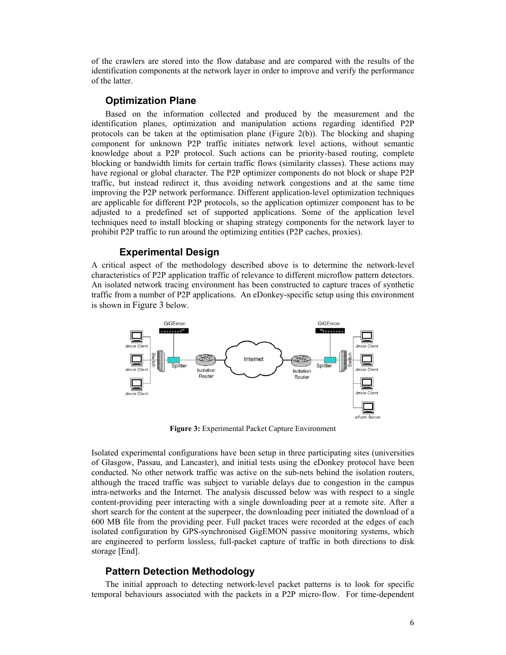of the crawlers are stored into the flow database and are compared with the results of the identification components at the network layer in order to improve and verify the performance of the latter.

### **Optimization Plane**

Based on the information collected and produced by the measurement and the identification planes, optimization and manipulation actions regarding identified P2P protocols can be taken at the optimisation plane (Figure 2(b)). The blocking and shaping component for unknown P2P traffic initiates network level actions, without semantic knowledge about a P2P protocol. Such actions can be priority-based routing, complete blocking or bandwidth limits for certain traffic flows (similarity classes). These actions may have regional or global character. The P2P optimizer components do not block or shape P2P traffic, but instead redirect it, thus avoiding network congestions and at the same time improving the P2P network performance. Different application-level optimization techniques are applicable for different P2P protocols, so the application optimizer component has to be adjusted to a predefined set of supported applications. Some of the application level techniques need to install blocking or shaping strategy components for the network layer to prohibit P2P traffic to run around the optimizing entities (P2P caches, proxies).

#### **Experimental Design**

A critical aspect of the methodology described above is to determine the network-level characteristics of P2P application traffic of relevance to different microflow pattern detectors. An isolated network tracing environment has been constructed to capture traces of synthetic traffic from a number of P2P applications. An eDonkey-specific setup using this environment is shown in Figure 3 below.



**Figure 3:** Experimental Packet Capture Environment

Isolated experimental configurations have been setup in three participating sites (universities of Glasgow, Passau, and Lancaster), and initial tests using the eDonkey protocol have been conducted. No other network traffic was active on the sub-nets behind the isolation routers, although the traced traffic was subject to variable delays due to congestion in the campus intra-networks and the Internet. The analysis discussed below was with respect to a single content-providing peer interacting with a single downloading peer at a remote site. After a short search for the content at the superpeer, the downloading peer initiated the download of a 600 MB file from the providing peer. Full packet traces were recorded at the edges of each isolated configuration by GPS-synchronised GigEMON passive monitoring systems, which are engineered to perform lossless, full-packet capture of traffic in both directions to disk storage [End].

# **Pattern Detection Methodology**

The initial approach to detecting network-level packet patterns is to look for specific temporal behaviours associated with the packets in a P2P micro-flow. For time-dependent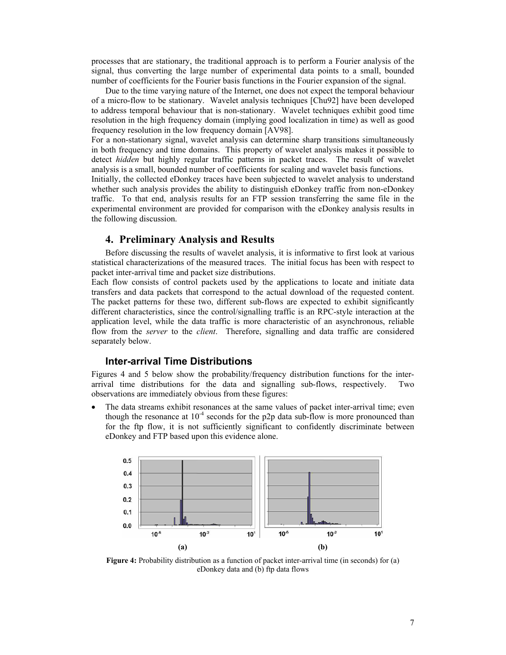processes that are stationary, the traditional approach is to perform a Fourier analysis of the signal, thus converting the large number of experimental data points to a small, bounded number of coefficients for the Fourier basis functions in the Fourier expansion of the signal.

Due to the time varying nature of the Internet, one does not expect the temporal behaviour of a micro-flow to be stationary. Wavelet analysis techniques [Chu92] have been developed to address temporal behaviour that is non-stationary. Wavelet techniques exhibit good time resolution in the high frequency domain (implying good localization in time) as well as good frequency resolution in the low frequency domain [AV98].

For a non-stationary signal, wavelet analysis can determine sharp transitions simultaneously in both frequency and time domains. This property of wavelet analysis makes it possible to detect *hidden* but highly regular traffic patterns in packet traces. The result of wavelet analysis is a small, bounded number of coefficients for scaling and wavelet basis functions.

Initially, the collected eDonkey traces have been subjected to wavelet analysis to understand whether such analysis provides the ability to distinguish eDonkey traffic from non-eDonkey traffic. To that end, analysis results for an FTP session transferring the same file in the experimental environment are provided for comparison with the eDonkey analysis results in the following discussion.

#### **4. Preliminary Analysis and Results**

Before discussing the results of wavelet analysis, it is informative to first look at various statistical characterizations of the measured traces. The initial focus has been with respect to packet inter-arrival time and packet size distributions.

Each flow consists of control packets used by the applications to locate and initiate data transfers and data packets that correspond to the actual download of the requested content. The packet patterns for these two, different sub-flows are expected to exhibit significantly different characteristics, since the control/signalling traffic is an RPC-style interaction at the application level, while the data traffic is more characteristic of an asynchronous, reliable flow from the *server* to the *client*. Therefore, signalling and data traffic are considered separately below.

#### **Inter-arrival Time Distributions**

Figures 4 and 5 below show the probability/frequency distribution functions for the interarrival time distributions for the data and signalling sub-flows, respectively. Two observations are immediately obvious from these figures:

• The data streams exhibit resonances at the same values of packet inter-arrival time; even though the resonance at  $10^{-4}$  seconds for the p2p data sub-flow is more pronounced than for the ftp flow, it is not sufficiently significant to confidently discriminate between eDonkey and FTP based upon this evidence alone.



**Figure 4:** Probability distribution as a function of packet inter-arrival time (in seconds) for (a) eDonkey data and (b) ftp data flows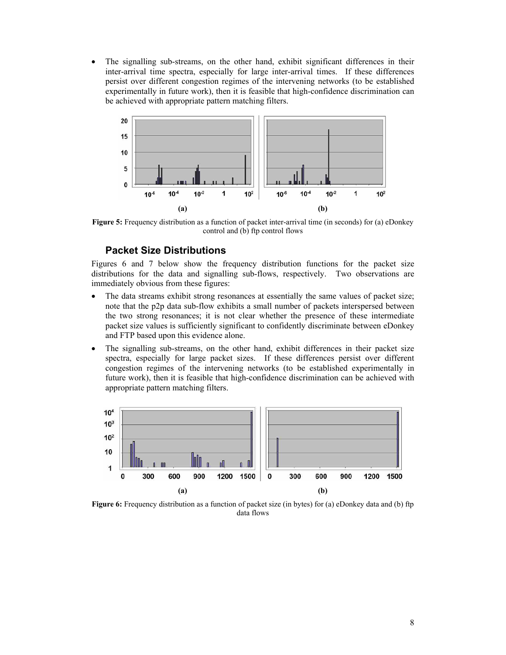• The signalling sub-streams, on the other hand, exhibit significant differences in their inter-arrival time spectra, especially for large inter-arrival times. If these differences persist over different congestion regimes of the intervening networks (to be established experimentally in future work), then it is feasible that high-confidence discrimination can be achieved with appropriate pattern matching filters.



**Figure 5:** Frequency distribution as a function of packet inter-arrival time (in seconds) for (a) eDonkey control and (b) ftp control flows

# **Packet Size Distributions**

Figures 6 and 7 below show the frequency distribution functions for the packet size distributions for the data and signalling sub-flows, respectively. Two observations are immediately obvious from these figures:

- The data streams exhibit strong resonances at essentially the same values of packet size; note that the p2p data sub-flow exhibits a small number of packets interspersed between the two strong resonances; it is not clear whether the presence of these intermediate packet size values is sufficiently significant to confidently discriminate between eDonkey and FTP based upon this evidence alone.
- The signalling sub-streams, on the other hand, exhibit differences in their packet size spectra, especially for large packet sizes. If these differences persist over different congestion regimes of the intervening networks (to be established experimentally in future work), then it is feasible that high-confidence discrimination can be achieved with appropriate pattern matching filters.



**Figure 6:** Frequency distribution as a function of packet size (in bytes) for (a) eDonkey data and (b) ftp data flows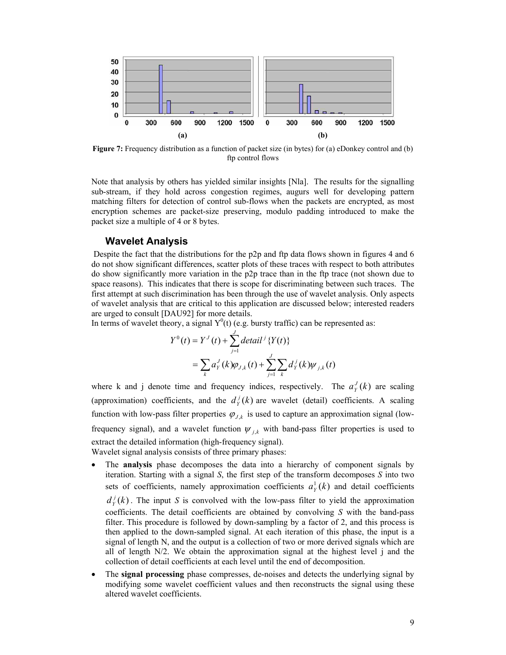

**Figure 7:** Frequency distribution as a function of packet size (in bytes) for (a) eDonkey control and (b) ftp control flows

Note that analysis by others has yielded similar insights [Nla]. The results for the signalling sub-stream, if they hold across congestion regimes, augurs well for developing pattern matching filters for detection of control sub-flows when the packets are encrypted, as most encryption schemes are packet-size preserving, modulo padding introduced to make the packet size a multiple of 4 or 8 bytes.

# **Wavelet Analysis**

 Despite the fact that the distributions for the p2p and ftp data flows shown in figures 4 and 6 do not show significant differences, scatter plots of these traces with respect to both attributes do show significantly more variation in the p2p trace than in the ftp trace (not shown due to space reasons). This indicates that there is scope for discriminating between such traces. The first attempt at such discrimination has been through the use of wavelet analysis. Only aspects of wavelet analysis that are critical to this application are discussed below; interested readers are urged to consult [DAU92] for more details.

In terms of wavelet theory, a signal  $Y^0(t)$  (e.g. bursty traffic) can be represented as:

$$
Y^{0}(t) = Y^{J}(t) + \sum_{j=1}^{J} detail^{J} \{Y(t)\}
$$
  
= 
$$
\sum_{k} a_{Y}^{J}(k) \varphi_{J,k}(t) + \sum_{j=1}^{J} \sum_{k} d_{Y}^{J}(k) \psi_{j,k}(t)
$$

where k and j denote time and frequency indices, respectively. The  $a_Y^J(k)$  are scaling (approximation) coefficients, and the  $d_Y^j(k)$  are wavelet (detail) coefficients. A scaling function with low-pass filter properties  $\varphi_{J,k}$  is used to capture an approximation signal (lowfrequency signal), and a wavelet function  $\psi_{ik}$  with band-pass filter properties is used to extract the detailed information (high-frequency signal).

Wavelet signal analysis consists of three primary phases:

• The **analysis** phase decomposes the data into a hierarchy of component signals by iteration. Starting with a signal *S*, the first step of the transform decomposes *S* into two sets of coefficients, namely approximation coefficients  $a_Y^1(k)$  and detail coefficients

 $d_Y^j(k)$ . The input *S* is convolved with the low-pass filter to yield the approximation coefficients. The detail coefficients are obtained by convolving *S* with the band-pass filter. This procedure is followed by down-sampling by a factor of 2, and this process is then applied to the down-sampled signal. At each iteration of this phase, the input is a signal of length N, and the output is a collection of two or more derived signals which are all of length  $N/2$ . We obtain the approximation signal at the highest level j and the collection of detail coefficients at each level until the end of decomposition.

• The **signal processing** phase compresses, de-noises and detects the underlying signal by modifying some wavelet coefficient values and then reconstructs the signal using these altered wavelet coefficients.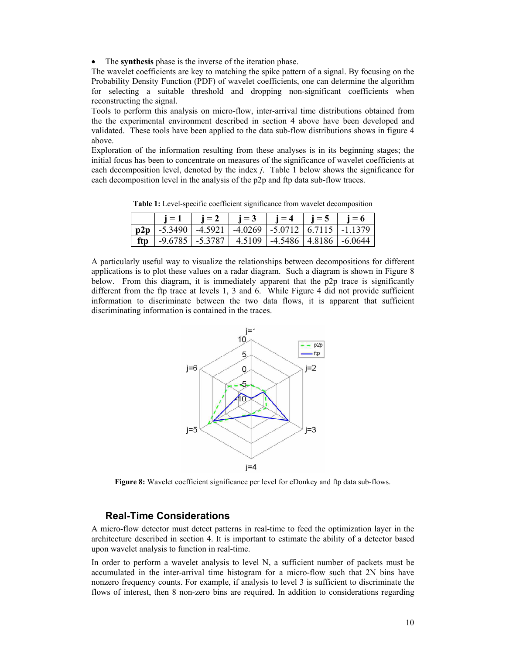The **synthesis** phase is the inverse of the iteration phase.

The wavelet coefficients are key to matching the spike pattern of a signal. By focusing on the Probability Density Function (PDF) of wavelet coefficients, one can determine the algorithm for selecting a suitable threshold and dropping non-significant coefficients when reconstructing the signal.

Tools to perform this analysis on micro-flow, inter-arrival time distributions obtained from the the experimental environment described in section 4 above have been developed and validated. These tools have been applied to the data sub-flow distributions shows in figure 4 above.

Exploration of the information resulting from these analyses is in its beginning stages; the initial focus has been to concentrate on measures of the significance of wavelet coefficients at each decomposition level, denoted by the index *j*. Table 1 below shows the significance for each decomposition level in the analysis of the p2p and ftp data sub-flow traces.

|     |                                                                        | $i = 3$ |  |  |
|-----|------------------------------------------------------------------------|---------|--|--|
|     | $\vert$ p2p   -5.3490   -4.5921   -4.0269   -5.0712   6.7115   -1.1379 |         |  |  |
| ftp | $\vert$ -9.6785   -5.3787   4.5109   -4.5486   4.8186   -6.0644        |         |  |  |

**Table 1:** Level-specific coefficient significance from wavelet decomposition

A particularly useful way to visualize the relationships between decompositions for different applications is to plot these values on a radar diagram. Such a diagram is shown in Figure 8 below. From this diagram, it is immediately apparent that the p2p trace is significantly different from the ftp trace at levels 1, 3 and 6. While Figure 4 did not provide sufficient information to discriminate between the two data flows, it is apparent that sufficient discriminating information is contained in the traces.



**Figure 8:** Wavelet coefficient significance per level for eDonkey and ftp data sub-flows.

# **Real-Time Considerations**

A micro-flow detector must detect patterns in real-time to feed the optimization layer in the architecture described in section 4. It is important to estimate the ability of a detector based upon wavelet analysis to function in real-time.

In order to perform a wavelet analysis to level N, a sufficient number of packets must be accumulated in the inter-arrival time histogram for a micro-flow such that 2N bins have nonzero frequency counts. For example, if analysis to level 3 is sufficient to discriminate the flows of interest, then 8 non-zero bins are required. In addition to considerations regarding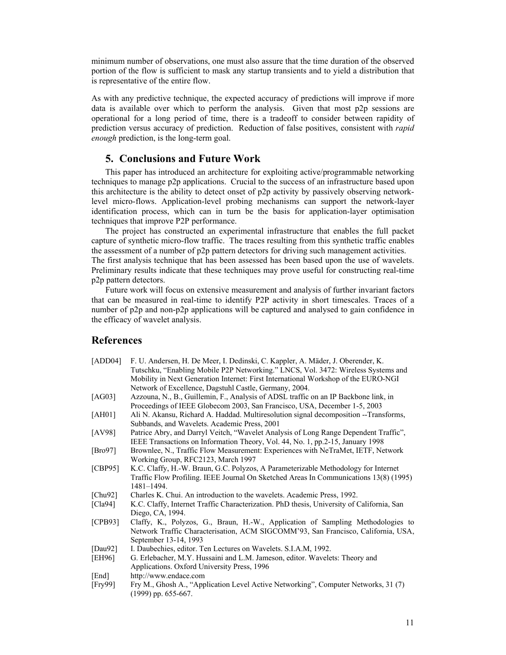minimum number of observations, one must also assure that the time duration of the observed portion of the flow is sufficient to mask any startup transients and to yield a distribution that is representative of the entire flow.

As with any predictive technique, the expected accuracy of predictions will improve if more data is available over which to perform the analysis. Given that most p2p sessions are operational for a long period of time, there is a tradeoff to consider between rapidity of prediction versus accuracy of prediction. Reduction of false positives, consistent with *rapid enough* prediction, is the long-term goal.

## **5. Conclusions and Future Work**

This paper has introduced an architecture for exploiting active/programmable networking techniques to manage p2p applications. Crucial to the success of an infrastructure based upon this architecture is the ability to detect onset of p2p activity by passively observing networklevel micro-flows. Application-level probing mechanisms can support the network-layer identification process, which can in turn be the basis for application-layer optimisation techniques that improve P2P performance.

The project has constructed an experimental infrastructure that enables the full packet capture of synthetic micro-flow traffic. The traces resulting from this synthetic traffic enables the assessment of a number of p2p pattern detectors for driving such management activities. The first analysis technique that has been assessed has been based upon the use of wavelets. Preliminary results indicate that these techniques may prove useful for constructing real-time p2p pattern detectors.

Future work will focus on extensive measurement and analysis of further invariant factors that can be measured in real-time to identify P2P activity in short timescales. Traces of a number of p2p and non-p2p applications will be captured and analysed to gain confidence in the efficacy of wavelet analysis.

## **References**

| [ADD04]     | F. U. Andersen, H. De Meer, I. Dedinski, C. Kappler, A. Mäder, J. Oberender, K.           |  |  |  |  |
|-------------|-------------------------------------------------------------------------------------------|--|--|--|--|
|             | Tutschku, "Enabling Mobile P2P Networking." LNCS, Vol. 3472: Wireless Systems and         |  |  |  |  |
|             | Mobility in Next Generation Internet: First International Workshop of the EURO-NGI        |  |  |  |  |
|             | Network of Excellence, Dagstuhl Castle, Germany, 2004.                                    |  |  |  |  |
| [AG03]      | Azzouna, N., B., Guillemin, F., Analysis of ADSL traffic on an IP Backbone link, in       |  |  |  |  |
|             | Proceedings of IEEE Globecom 2003, San Francisco, USA, December 1-5, 2003                 |  |  |  |  |
| [AH01]      | Ali N. Akansu, Richard A. Haddad. Multiresolution signal decomposition --Transforms,      |  |  |  |  |
|             | Subbands, and Wavelets. Academic Press, 2001                                              |  |  |  |  |
| [AV98]      | Patrice Abry, and Darryl Veitch, "Wavelet Analysis of Long Range Dependent Traffic",      |  |  |  |  |
|             | IEEE Transactions on Information Theory, Vol. 44, No. 1, pp.2-15, January 1998            |  |  |  |  |
| [Bro97]     | Brownlee, N., Traffic Flow Measurement: Experiences with NeTraMet, IETF, Network          |  |  |  |  |
|             | Working Group, RFC2123, March 1997                                                        |  |  |  |  |
| [CBP95]     | K.C. Claffy, H.-W. Braun, G.C. Polyzos, A Parameterizable Methodology for Internet        |  |  |  |  |
|             | Traffic Flow Profiling. IEEE Journal On Sketched Areas In Communications 13(8) (1995)     |  |  |  |  |
|             | $1481 - 1494.$                                                                            |  |  |  |  |
| [Chu92]     | Charles K. Chui. An introduction to the wavelets. Academic Press, 1992.                   |  |  |  |  |
| [Cla94]     | K.C. Claffy, Internet Traffic Characterization. PhD thesis, University of California, San |  |  |  |  |
|             | Diego, CA, 1994.                                                                          |  |  |  |  |
| [CPB93]     | Claffy, K., Polyzos, G., Braun, H.-W., Application of Sampling Methodologies to           |  |  |  |  |
|             | Network Traffic Characterisation, ACM SIGCOMM'93, San Francisco, California, USA,         |  |  |  |  |
|             | September 13-14, 1993                                                                     |  |  |  |  |
| [Dau $92$ ] | I. Daubechies, editor. Ten Lectures on Wavelets. S.I.A.M, 1992.                           |  |  |  |  |
| [EH96]      | G. Erlebacher, M.Y. Hussaini and L.M. Jameson, editor. Wavelets: Theory and               |  |  |  |  |
|             | Applications. Oxford University Press, 1996                                               |  |  |  |  |
| [End]       | http://www.endace.com                                                                     |  |  |  |  |
| [Fry99]     | Fry M., Ghosh A., "Application Level Active Networking", Computer Networks, 31 (7)        |  |  |  |  |
|             | $(1999)$ pp. 655-667.                                                                     |  |  |  |  |